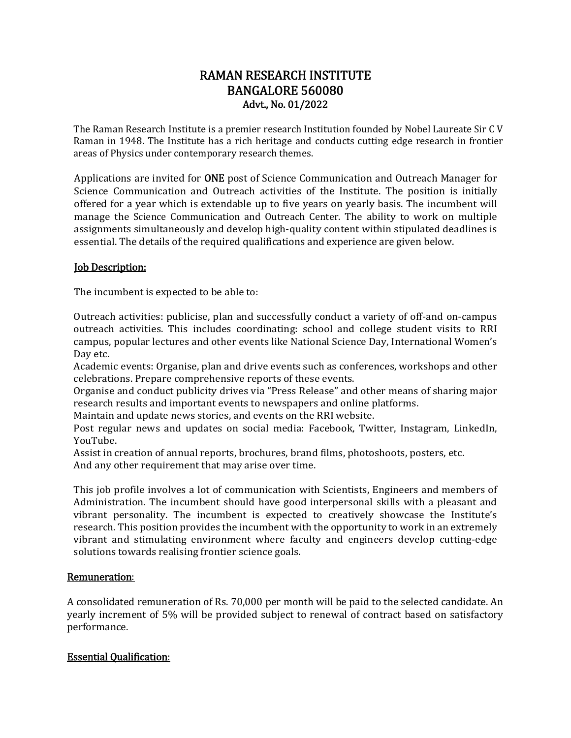# RAMAN RESEARCH INSTITUTE BANGALORE 560080 Advt., No. 01/2022

The Raman Research Institute is a premier research Institution founded by Nobel Laureate Sir C V Raman in 1948. The Institute has a rich heritage and conducts cutting edge research in frontier areas of Physics under contemporary research themes.

Applications are invited for **ONE** post of Science Communication and Outreach Manager for Science Communication and Outreach activities of the Institute. The position is initially offered for a year which is extendable up to five years on yearly basis. The incumbent will manage the Science Communication and Outreach Center. The ability to work on multiple assignments simultaneously and develop high-quality content within stipulated deadlines is essential. The details of the required qualifications and experience are given below.

### **Job Description:**

The incumbent is expected to be able to:

Outreach activities: publicise, plan and successfully conduct a variety of off-and on-campus outreach activities. This includes coordinating: school and college student visits to RRI campus, popular lectures and other events like National Science Day, International Women's Day etc.

Academic events: Organise, plan and drive events such as conferences, workshops and other celebrations. Prepare comprehensive reports of these events.

Organise and conduct publicity drives via "Press Release" and other means of sharing major research results and important events to newspapers and online platforms.

Maintain and update news stories, and events on the RRI website.

Post regular news and updates on social media: Facebook, Twitter, Instagram, LinkedIn, YouTube.

Assist in creation of annual reports, brochures, brand films, photoshoots, posters, etc. And any other requirement that may arise over time.

This job profile involves a lot of communication with Scientists, Engineers and members of Administration. The incumbent should have good interpersonal skills with a pleasant and vibrant personality. The incumbent is expected to creatively showcase the Institute's research. This position provides the incumbent with the opportunity to work in an extremely vibrant and stimulating environment where faculty and engineers develop cutting-edge solutions towards realising frontier science goals.

#### Remuneration:

A consolidated remuneration of Rs. 70,000 per month will be paid to the selected candidate. An yearly increment of 5% will be provided subject to renewal of contract based on satisfactory performance.

### Essential Qualification: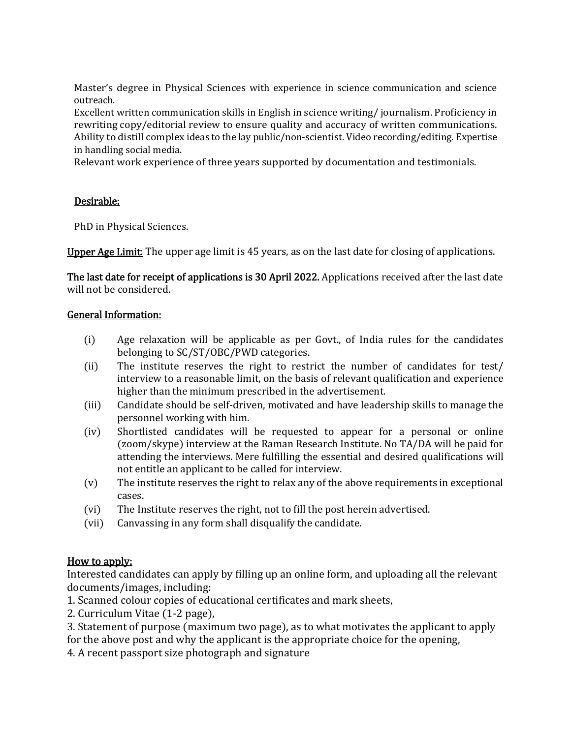Master's degree in Physical Sciences with experience in science communication and science outreach.

Excellent written communication skills in English in science writing/ journalism. Proficiency in rewriting copy/editorial review to ensure quality and accuracy of written communications. Ability to distill complex ideas to the lay public/non-scientist. Video recording/editing. Expertise in handling social media.

Relevant work experience of three years supported by documentation and testimonials.

## Desirable:

PhD in Physical Sciences.

Upper Age Limit: The upper age limit is 45 years, as on the last date for closing of applications.

The last date for receipt of applications is 30 April 2022. Applications received after the last date will not be considered.

## General Information:

- $(i)$  Age relaxation will be applicable as per Govt., of India rules for the candidates belonging to SC/ST/OBC/PWD categories.
- $(i)$  The institute reserves the right to restrict the number of candidates for test/ interview to a reasonable limit, on the basis of relevant qualification and experience higher than the minimum prescribed in the advertisement.
- (iii) Candidate should be self-driven, motivated and have leadership skills to manage the personnel working with him.
- $(iv)$  Shortlisted candidates will be requested to appear for a personal or online (zoom/skype) interview at the Raman Research Institute. No TA/DA will be paid for attending the interviews. Mere fulfilling the essential and desired qualifications will not entitle an applicant to be called for interview.
- $(v)$  The institute reserves the right to relax any of the above requirements in exceptional cases.
- (vi) The Institute reserves the right, not to fill the post herein advertised.
- (vii) Canvassing in any form shall disqualify the candidate.

## How to apply:

Interested candidates can apply by filling up an online form, and uploading all the relevant documents/images, including:

- 1. Scanned colour copies of educational certificates and mark sheets,
- 2. Curriculum Vitae (1-2 page),
- 3. Statement of purpose (maximum two page), as to what motivates the applicant to apply for the above post and why the applicant is the appropriate choice for the opening,
- 4. A recent passport size photograph and signature